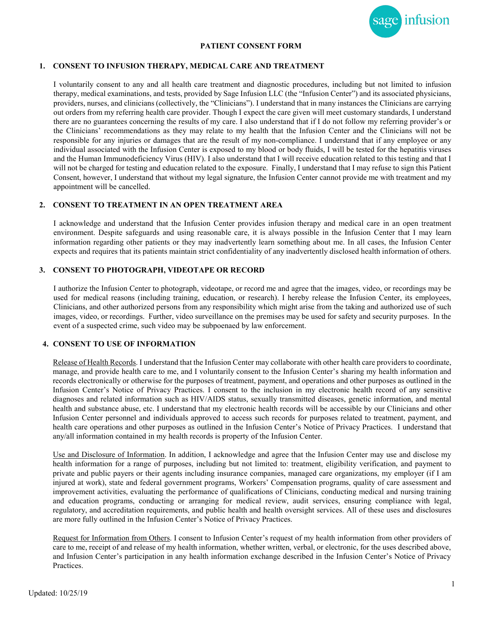

## **PATIENT CONSENT FORM**

#### **1. CONSENT TO INFUSION THERAPY, MEDICAL CARE AND TREATMENT**

I voluntarily consent to any and all health care treatment and diagnostic procedures, including but not limited to infusion therapy, medical examinations, and tests, provided by Sage Infusion LLC (the "Infusion Center") and its associated physicians, providers, nurses, and clinicians (collectively, the "Clinicians"). I understand that in many instances the Clinicians are carrying out orders from my referring health care provider. Though I expect the care given will meet customary standards, I understand there are no guarantees concerning the results of my care. I also understand that if I do not follow my referring provider's or the Clinicians' recommendations as they may relate to my health that the Infusion Center and the Clinicians will not be responsible for any injuries or damages that are the result of my noncompliance. I understand that if any employee or any individual associated with the Infusion Center is exposed to my blood or body fluids, I will be tested for the hepatitis viruses and the Human Immunodeficiency Virus (HIV). I also understand that I will receive education related to this testing and that I will not be charged for testing and education related to the exposure. Finally, I understand that I may refuse to sign this Patient Consent, however, I understand that without my legal signature, the Infusion Center cannot provide me with treatment and my appointment will be cancelled.

## **2. CONSENT TO TREATMENT IN AN OPEN TREATMENT AREA**

I acknowledge and understand that the Infusion Center provides infusion therapy and medical care in an open treatment environment. Despite safeguards and using reasonable care, it is always possible in the Infusion Center that I may learn information regarding other patients or they may inadvertently learn something about me. In all cases, the Infusion Center expects and requires that its patients maintain strict confidentiality of any inadvertently disclosed health information of others.

#### **3. CONSENT TO PHOTOGRAPH, VIDEOTAPE OR RECORD**

I authorize the Infusion Center to photograph, videotape, or record me and agree that the images, video, or recordings may be used for medical reasons (including training, education, or research). I hereby release the Infusion Center, its employees, Clinicians, and other authorized persons from any responsibility which might arise from the taking and authorized use of such images, video, or recordings.Further, video surveillance on the premises may be used for safety and security purposes. In the event of a suspected crime, such video may be subpoenaed by law enforcement.

#### **4. CONSENT TO USE OF INFORMATION**

Release of Health Records. I understand that the Infusion Center may collaborate with other health care providers to coordinate, manage, and provide health care to me, and I voluntarily consent to the Infusion Center's sharing my health information and records electronically or otherwise for the purposes of treatment, payment, and operations and other purposes as outlined in the Infusion Center's Notice of Privacy Practices. I consent to the inclusion in my electronic health record of any sensitive diagnoses and related information such as HIV/AIDS status, sexually transmitted diseases, genetic information, and mental health and substance abuse, etc. I understand that my electronic health records will be accessible by our Clinicians and other Infusion Center personnel and individuals approved to access such records for purposes related to treatment, payment, and health care operations and other purposes as outlined in the Infusion Center's Notice of Privacy Practices. I understand that any/all information contained in my health records is property of the Infusion Center.

Use and Disclosure of Information. In addition, I acknowledge and agree that the Infusion Center may use and disclose my health information for a range of purposes, including but not limited to: treatment, eligibility verification, and payment to private and public payers or their agents including insurance companies, managed care organizations, my employer (if I am injured at work), state and federal government programs, Workers' Compensation programs, quality of care assessment and improvement activities, evaluating the performance of qualifications of Clinicians, conducting medical and nursing training and education programs, conducting or arranging for medical review, audit services, ensuring compliance with legal, regulatory, and accreditation requirements, and public health and health oversight services. All of these uses and disclosures are more fully outlined in the Infusion Center's Notice of Privacy Practices.

Request for Information from Others. I consent to Infusion Center's request of my health information from other providers of care to me, receipt of and release of my health information, whether written, verbal, or electronic, for the uses described above, and Infusion Center's participation in any health information exchange described in the Infusion Center's Notice of Privacy Practices.